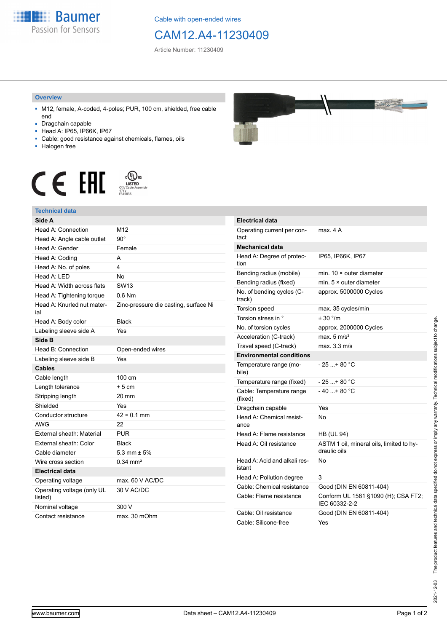

Cable with open-ended wires

## CAM12.A4-11230409

Article Number: 11230409

## **Overview**

- M12, female, A-coded, 4-poles; PUR, 100 cm, shielded, free cable end
- Dragchain capable
- Head A: IP65, IP66K, IP67
- Cable: good resistance against chemicals, flames, oils
- Halogen free





| <b>Technical data</b>                 |                                       |                            |
|---------------------------------------|---------------------------------------|----------------------------|
| Side A                                |                                       | <b>Electrical data</b>     |
| <b>Head A: Connection</b>             | M12                                   | Operating curre            |
| Head A: Angle cable outlet            | $90^\circ$                            | tact                       |
| Head A: Gender                        | Female                                | <b>Mechanical dat</b>      |
| Head A: Coding                        | A                                     | Head A: Degree             |
| Head A: No. of poles                  | 4                                     | tion                       |
| Head A: LED                           | <b>No</b>                             | Bending radius             |
| Head A: Width across flats            | SW <sub>13</sub>                      | Bending radius             |
| Head A: Tightening torque             | $0.6$ Nm                              | No. of bending o<br>track) |
| Head A: Knurled nut mater-<br>ial     | Zinc-pressure die casting, surface Ni | Torsion speed              |
| Head A: Body color                    | <b>Black</b>                          | Torsion stress ir          |
| Labeling sleeve side A                | Yes                                   | No. of torsion cy          |
| Side B                                |                                       | Acceleration (C-           |
| Head B: Connection                    | Open-ended wires                      | Travel speed (C            |
| Labeling sleeve side B                | Yes                                   | <b>Environmental</b>       |
| <b>Cables</b>                         |                                       | Temperature rar<br>bile)   |
| Cable length                          | 100 cm                                | Temperature rar            |
| Length tolerance                      | $+5cm$                                | Cable: Tempera             |
| Stripping length                      | 20 mm                                 | (fixed)                    |
| Shielded                              | Yes                                   | Dragchain capa             |
| Conductor structure                   | $42 \times 0.1$ mm                    | Head A: Chemid             |
| <b>AWG</b>                            | 22                                    | ance                       |
| External sheath: Material             | <b>PUR</b>                            | Head A: Flame              |
| External sheath: Color                | <b>Black</b>                          | Head A: Oil resi           |
| Cable diameter                        | 5.3 mm $\pm$ 5%                       |                            |
| Wire cross section                    | $0.34 \, \text{mm}^2$                 | Head A: Acid an<br>istant  |
| <b>Electrical data</b>                |                                       | Head A: Pollutic           |
| Operating voltage                     | max. 60 V AC/DC                       | Cable: Chemica             |
| Operating voltage (only UL<br>listed) | 30 V AC/DC                            | Cable: Flame re            |
| Nominal voltage                       | 300 V                                 |                            |
| Contact resistance                    | max. 30 mOhm                          | Cable: Oil resist          |
|                                       |                                       | Cable: Silicone-           |



| <b>Electrical data</b>                 |                                                          |
|----------------------------------------|----------------------------------------------------------|
| Operating current per con-<br>tact     | max. 4 A                                                 |
| <b>Mechanical data</b>                 |                                                          |
| Head A: Degree of protec-<br>tion      | IP65, IP66K, IP67                                        |
| Bending radius (mobile)                | min. $10 \times$ outer diameter                          |
| Bending radius (fixed)                 | min. $5 \times$ outer diameter                           |
| No. of bending cycles (C-<br>track)    | approx. 5000000 Cycles                                   |
| Torsion speed                          | max. 35 cycles/min                                       |
| Torsion stress in °                    | ± 30 °/m                                                 |
| No. of torsion cycles                  | approx. 2000000 Cycles                                   |
| Acceleration (C-track)                 | max. $5 \text{ m/s}^2$                                   |
| Travel speed (C-track)                 | max. 3.3 m/s                                             |
| <b>Environmental conditions</b>        |                                                          |
| Temperature range (mo-<br>bile)        | - 25 + 80 °C                                             |
| Temperature range (fixed)              | $-25+80 °C$                                              |
| Cable: Temperature range<br>(fixed)    | $-40+80 °C$                                              |
| Dragchain capable                      | Yes                                                      |
| Head A: Chemical resist-<br>ance       | N٥                                                       |
| Head A: Flame resistance               | <b>HB (UL 94)</b>                                        |
| Head A: Oil resistance                 | ASTM 1 oil, mineral oils, limited to hy-<br>draulic oils |
| Head A: Acid and alkali res-<br>istant | N٥                                                       |
| Head A: Pollution degree               | 3                                                        |
| Cable: Chemical resistance             | Good (DIN EN 60811-404)                                  |
| Cable: Flame resistance                | Conform UL 1581 §1090 (H); CSA FT2;<br>IFC 60332-2-2     |
| Cable: Oil resistance                  | Good (DIN EN 60811-404)                                  |
| Cable: Silicone-free                   | Yes                                                      |